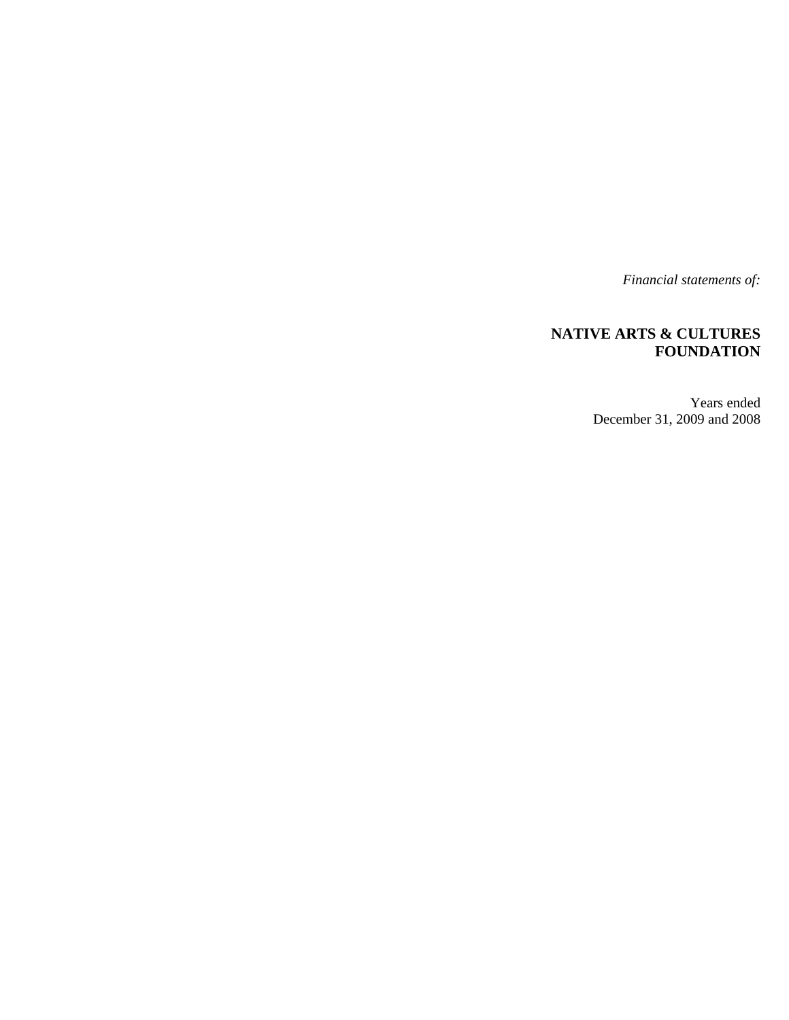*Financial statements of:* 

## **NATIVE ARTS & CULTURES FOUNDATION**

Years ended December 31, 2009 and 2008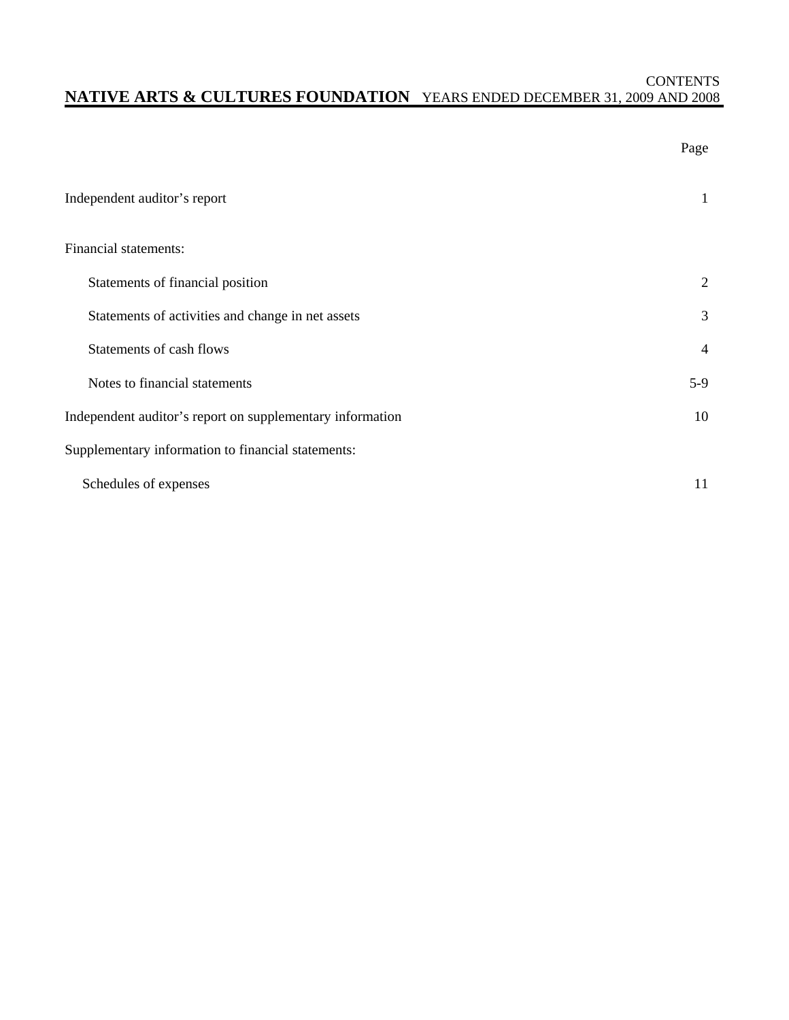### **CONTENTS NATIVE ARTS & CULTURES FOUNDATION** YEARS ENDED DECEMBER 31, 2009 AND 2008

|                                                           | Page           |
|-----------------------------------------------------------|----------------|
| Independent auditor's report                              | 1              |
| Financial statements:                                     |                |
| Statements of financial position                          | 2              |
| Statements of activities and change in net assets         | 3              |
| Statements of cash flows                                  | $\overline{4}$ |
| Notes to financial statements                             | $5-9$          |
| Independent auditor's report on supplementary information | 10             |
| Supplementary information to financial statements:        |                |
| Schedules of expenses                                     | 11             |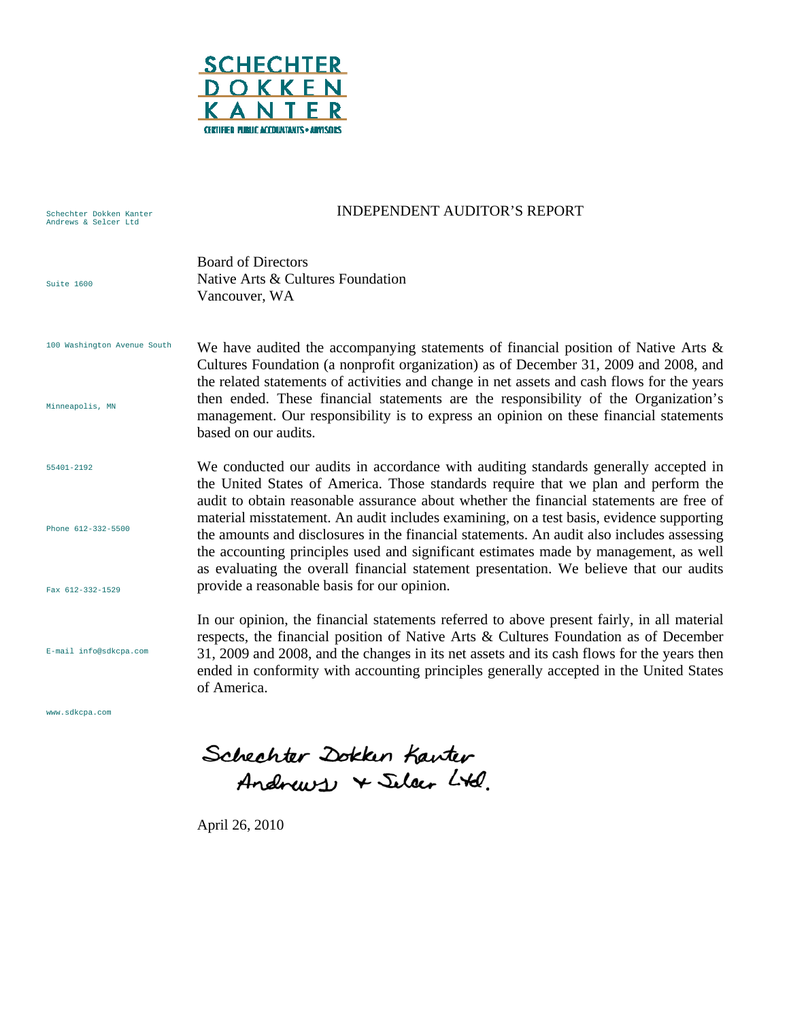

#### Schechter Dokken Kanter Andrews & Selcer Ltd Suite 1600 100 Washington Avenue South Minneapolis, MN 55401-2192 Phone 612-332-5500 Fax 612-332-1529 E-mail info@sdkcpa.com INDEPENDENT AUDITOR'S REPORT Board of Directors Native Arts & Cultures Foundation Vancouver, WA We have audited the accompanying statements of financial position of Native Arts  $\&$ Cultures Foundation (a nonprofit organization) as of December 31, 2009 and 2008, and the related statements of activities and change in net assets and cash flows for the years then ended. These financial statements are the responsibility of the Organization's management. Our responsibility is to express an opinion on these financial statements based on our audits. We conducted our audits in accordance with auditing standards generally accepted in the United States of America. Those standards require that we plan and perform the audit to obtain reasonable assurance about whether the financial statements are free of material misstatement. An audit includes examining, on a test basis, evidence supporting the amounts and disclosures in the financial statements. An audit also includes assessing the accounting principles used and significant estimates made by management, as well as evaluating the overall financial statement presentation. We believe that our audits provide a reasonable basis for our opinion. In our opinion, the financial statements referred to above present fairly, in all material respects, the financial position of Native Arts & Cultures Foundation as of December 31, 2009 and 2008, and the changes in its net assets and its cash flows for the years then ended in conformity with accounting principles generally accepted in the United States of America.

www.sdkcpa.com

Schechter Dokken Kanter Andrews + Silver Ltd.

April 26, 2010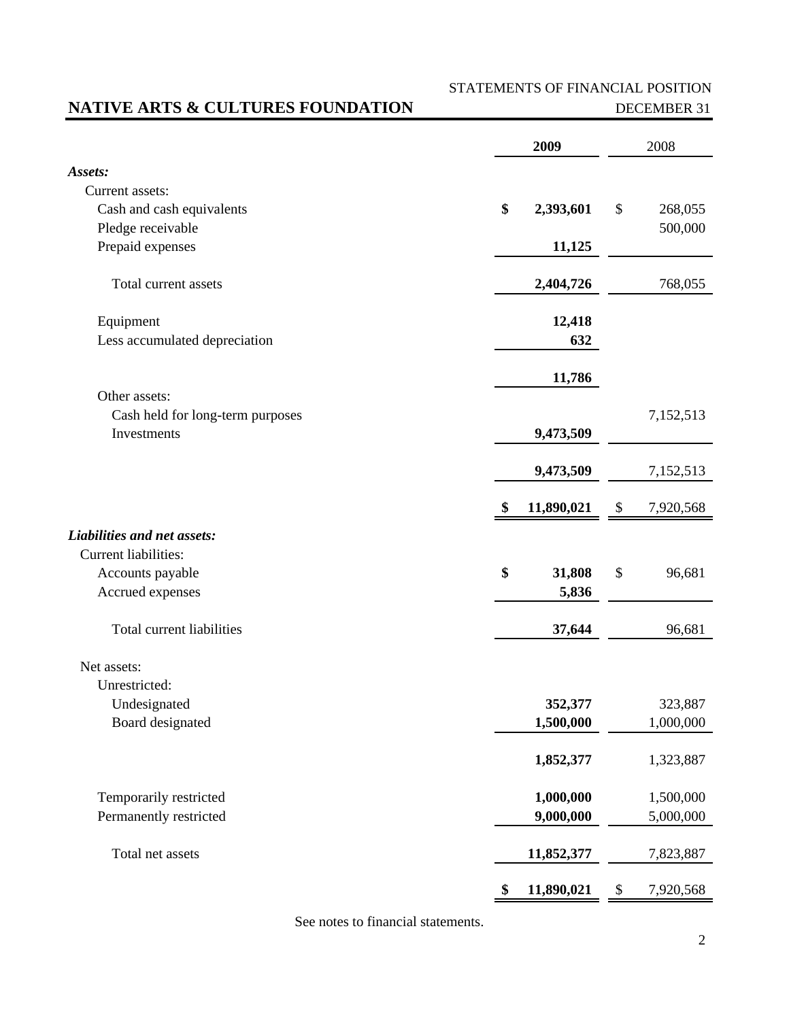# STATEMENTS OF FINANCIAL POSITION

# **NATIVE ARTS & CULTURES FOUNDATION** DECEMBER 31

|                                  | 2009             |      | 2008      |
|----------------------------------|------------------|------|-----------|
| Assets:                          |                  |      |           |
| Current assets:                  |                  |      |           |
| Cash and cash equivalents        | \$<br>2,393,601  | $\$$ | 268,055   |
| Pledge receivable                |                  |      | 500,000   |
| Prepaid expenses                 | 11,125           |      |           |
| Total current assets             | 2,404,726        |      | 768,055   |
| Equipment                        | 12,418           |      |           |
| Less accumulated depreciation    | 632              |      |           |
|                                  | 11,786           |      |           |
| Other assets:                    |                  |      |           |
| Cash held for long-term purposes |                  |      | 7,152,513 |
| Investments                      | 9,473,509        |      |           |
|                                  | 9,473,509        |      | 7,152,513 |
|                                  | \$<br>11,890,021 | \$   | 7,920,568 |
| Liabilities and net assets:      |                  |      |           |
| Current liabilities:             |                  |      |           |
| Accounts payable                 | \$<br>31,808     | \$   | 96,681    |
| Accrued expenses                 | 5,836            |      |           |
| Total current liabilities        | 37,644           |      | 96,681    |
| Net assets:                      |                  |      |           |
| Unrestricted:                    |                  |      |           |
| Undesignated                     | 352,377          |      | 323,887   |
| Board designated                 | 1,500,000        |      | 1,000,000 |
|                                  | 1,852,377        |      | 1,323,887 |
| Temporarily restricted           | 1,000,000        |      | 1,500,000 |
| Permanently restricted           | 9,000,000        |      | 5,000,000 |
| Total net assets                 | 11,852,377       |      | 7,823,887 |
|                                  | \$<br>11,890,021 | \$   | 7,920,568 |

See notes to financial statements.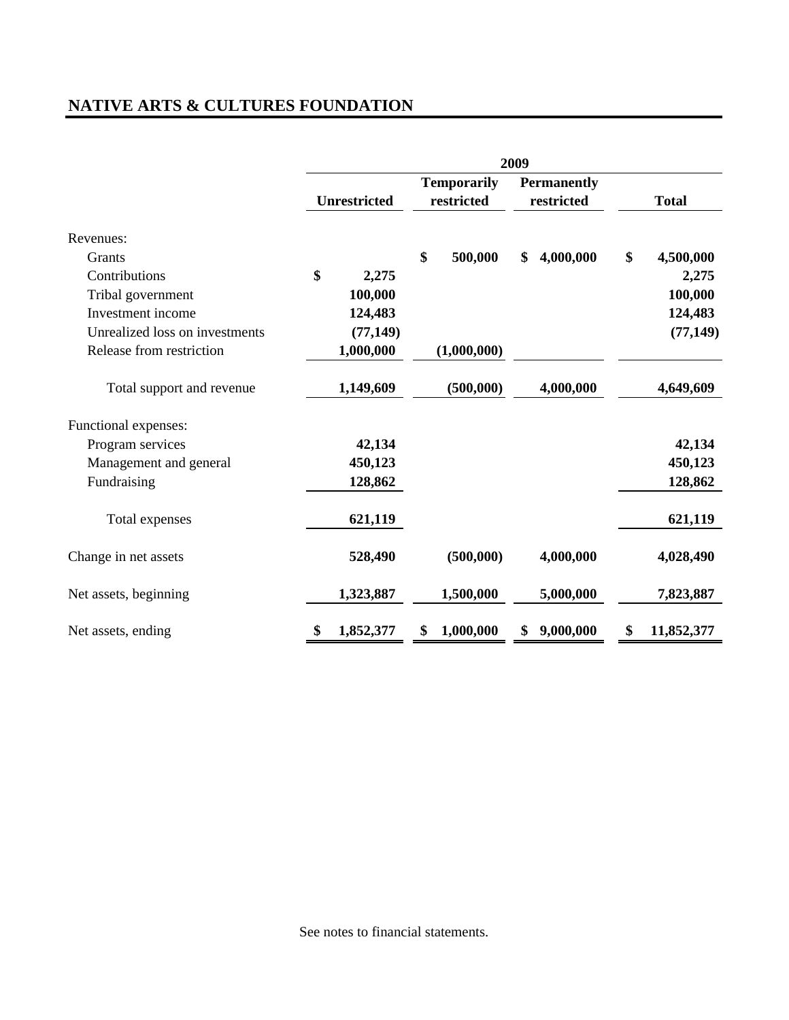# **NATIVE ARTS & CULTURES FOUNDATION**

|                                | 2009 |                     |    |                                  |    |                                  |                  |
|--------------------------------|------|---------------------|----|----------------------------------|----|----------------------------------|------------------|
|                                |      | <b>Unrestricted</b> |    | <b>Temporarily</b><br>restricted |    | <b>Permanently</b><br>restricted | <b>Total</b>     |
| Revenues:                      |      |                     |    |                                  |    |                                  |                  |
| Grants                         |      |                     | \$ | 500,000                          | \$ | 4,000,000                        | \$<br>4,500,000  |
| Contributions                  | \$   | 2,275               |    |                                  |    |                                  | 2,275            |
| Tribal government              |      | 100,000             |    |                                  |    |                                  | 100,000          |
| Investment income              |      | 124,483             |    |                                  |    |                                  | 124,483          |
| Unrealized loss on investments |      | (77, 149)           |    |                                  |    |                                  | (77, 149)        |
| Release from restriction       |      | 1,000,000           |    | (1,000,000)                      |    |                                  |                  |
| Total support and revenue      |      | 1,149,609           |    | (500,000)                        |    | 4,000,000                        | 4,649,609        |
| Functional expenses:           |      |                     |    |                                  |    |                                  |                  |
| Program services               |      | 42,134              |    |                                  |    |                                  | 42,134           |
| Management and general         |      | 450,123             |    |                                  |    |                                  | 450,123          |
| Fundraising                    |      | 128,862             |    |                                  |    |                                  | 128,862          |
| Total expenses                 |      | 621,119             |    |                                  |    |                                  | 621,119          |
| Change in net assets           |      | 528,490             |    | (500,000)                        |    | 4,000,000                        | 4,028,490        |
| Net assets, beginning          |      | 1,323,887           |    | 1,500,000                        |    | 5,000,000                        | 7,823,887        |
| Net assets, ending             | \$   | 1,852,377           | \$ | 1,000,000                        | \$ | 9,000,000                        | \$<br>11,852,377 |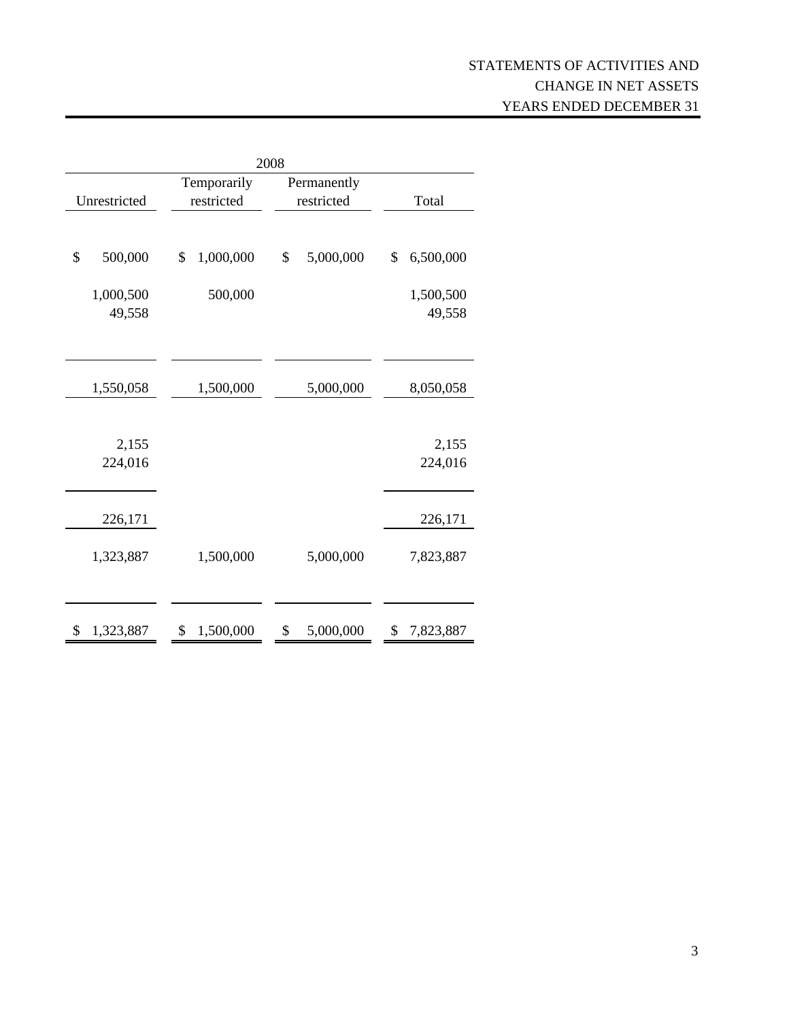| 2008             |                 |                 |                  |  |  |
|------------------|-----------------|-----------------|------------------|--|--|
|                  | Temporarily     | Permanently     |                  |  |  |
| Unrestricted     | restricted      | restricted      | Total            |  |  |
|                  |                 |                 |                  |  |  |
| \$<br>500,000    | \$<br>1,000,000 | \$<br>5,000,000 | \$<br>6,500,000  |  |  |
| 1,000,500        | 500,000         |                 | 1,500,500        |  |  |
| 49,558           |                 |                 | 49,558           |  |  |
|                  |                 |                 |                  |  |  |
| 1,550,058        | 1,500,000       | 5,000,000       | 8,050,058        |  |  |
| 2,155<br>224,016 |                 |                 | 2,155<br>224,016 |  |  |
| 226,171          |                 |                 | 226,171          |  |  |
| 1,323,887        | 1,500,000       | 5,000,000       | 7,823,887        |  |  |
| 1,323,887<br>S   | 1,500,000<br>\$ | 5,000,000<br>\$ | 7,823,887<br>\$  |  |  |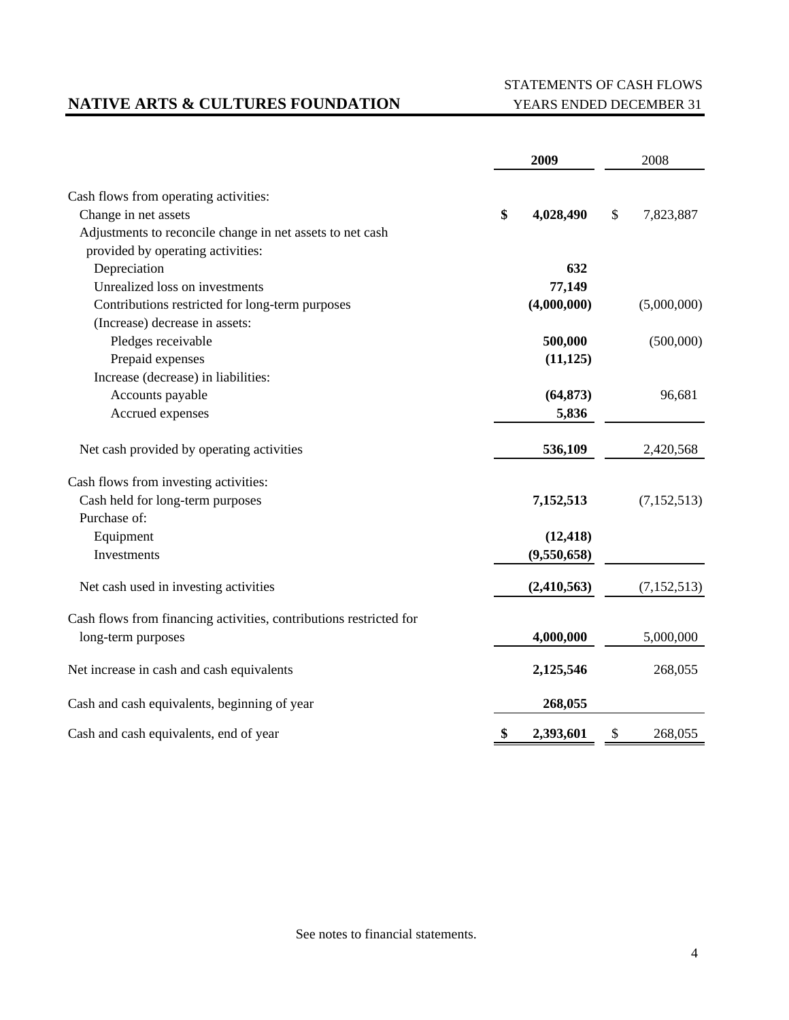# **NATIVE ARTS & CULTURES FOUNDATION** YEARS ENDED DECEMBER 31

# STATEMENTS OF CASH FLOWS

|                                                                    | 2009            | 2008            |
|--------------------------------------------------------------------|-----------------|-----------------|
| Cash flows from operating activities:                              |                 |                 |
| Change in net assets                                               | \$<br>4,028,490 | \$<br>7,823,887 |
| Adjustments to reconcile change in net assets to net cash          |                 |                 |
| provided by operating activities:                                  |                 |                 |
| Depreciation                                                       | 632             |                 |
| Unrealized loss on investments                                     | 77,149          |                 |
| Contributions restricted for long-term purposes                    | (4,000,000)     | (5,000,000)     |
| (Increase) decrease in assets:                                     |                 |                 |
| Pledges receivable                                                 | 500,000         | (500,000)       |
| Prepaid expenses                                                   | (11, 125)       |                 |
| Increase (decrease) in liabilities:                                |                 |                 |
| Accounts payable                                                   | (64, 873)       | 96,681          |
| Accrued expenses                                                   | 5,836           |                 |
| Net cash provided by operating activities                          | 536,109         | 2,420,568       |
| Cash flows from investing activities:                              |                 |                 |
| Cash held for long-term purposes                                   | 7,152,513       | (7, 152, 513)   |
| Purchase of:                                                       |                 |                 |
| Equipment                                                          | (12, 418)       |                 |
| Investments                                                        | (9,550,658)     |                 |
| Net cash used in investing activities                              | (2,410,563)     | (7, 152, 513)   |
| Cash flows from financing activities, contributions restricted for |                 |                 |
| long-term purposes                                                 | 4,000,000       | 5,000,000       |
| Net increase in cash and cash equivalents                          | 2,125,546       | 268,055         |
| Cash and cash equivalents, beginning of year                       | 268,055         |                 |
| Cash and cash equivalents, end of year                             | \$<br>2,393,601 | \$<br>268,055   |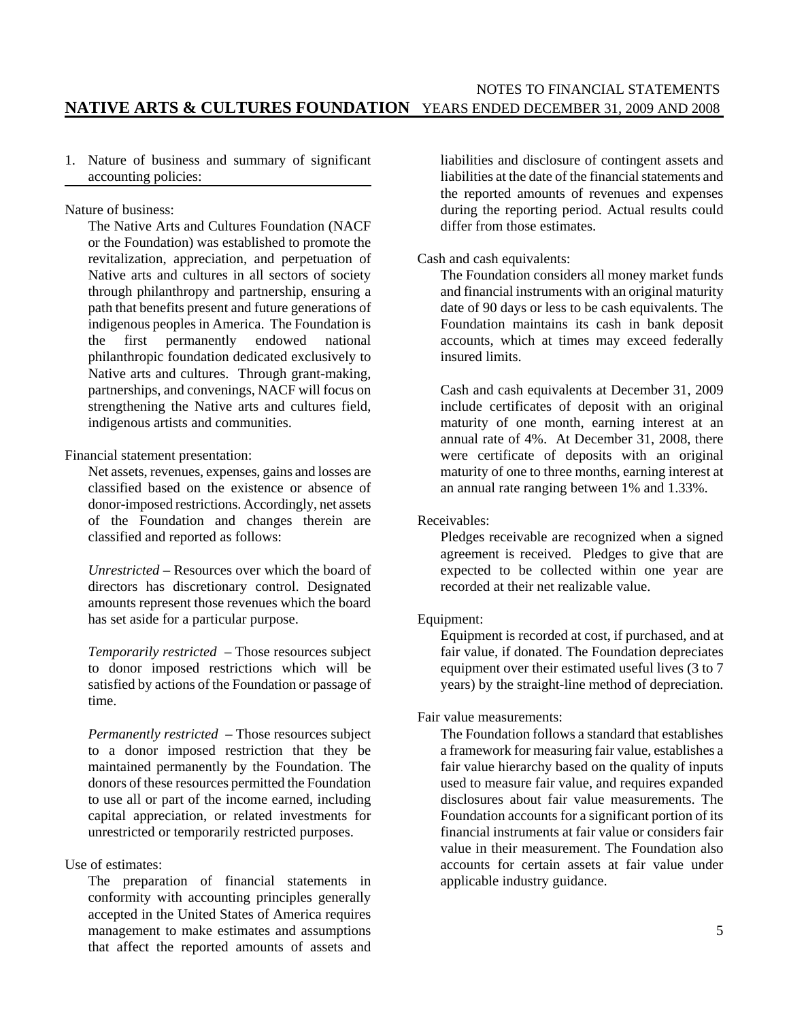#### NOTES TO FINANCIAL STATEMENTS **NATIVE ARTS & CULTURES FOUNDATION** YEARS ENDED DECEMBER 31, 2009 AND 2008

1. Nature of business and summary of significant accounting policies:

Nature of business:

The Native Arts and Cultures Foundation (NACF or the Foundation) was established to promote the revitalization, appreciation, and perpetuation of Native arts and cultures in all sectors of society through philanthropy and partnership, ensuring a path that benefits present and future generations of indigenous peoples in America. The Foundation is the first permanently endowed national philanthropic foundation dedicated exclusively to Native arts and cultures. Through grant-making, partnerships, and convenings, NACF will focus on strengthening the Native arts and cultures field, indigenous artists and communities.

Financial statement presentation:

Net assets, revenues, expenses, gains and losses are classified based on the existence or absence of donor-imposed restrictions. Accordingly, net assets of the Foundation and changes therein are classified and reported as follows:

*Unrestricted* – Resources over which the board of directors has discretionary control. Designated amounts represent those revenues which the board has set aside for a particular purpose.

*Temporarily restricted* – Those resources subject to donor imposed restrictions which will be satisfied by actions of the Foundation or passage of time.

*Permanently restricted* – Those resources subject to a donor imposed restriction that they be maintained permanently by the Foundation. The donors of these resources permitted the Foundation to use all or part of the income earned, including capital appreciation, or related investments for unrestricted or temporarily restricted purposes.

#### Use of estimates:

The preparation of financial statements in conformity with accounting principles generally accepted in the United States of America requires management to make estimates and assumptions that affect the reported amounts of assets and liabilities and disclosure of contingent assets and liabilities at the date of the financial statements and the reported amounts of revenues and expenses during the reporting period. Actual results could differ from those estimates.

#### Cash and cash equivalents:

The Foundation considers all money market funds and financial instruments with an original maturity date of 90 days or less to be cash equivalents. The Foundation maintains its cash in bank deposit accounts, which at times may exceed federally insured limits.

Cash and cash equivalents at December 31, 2009 include certificates of deposit with an original maturity of one month, earning interest at an annual rate of 4%. At December 31, 2008, there were certificate of deposits with an original maturity of one to three months, earning interest at an annual rate ranging between 1% and 1.33%.

#### Receivables:

Pledges receivable are recognized when a signed agreement is received. Pledges to give that are expected to be collected within one year are recorded at their net realizable value.

#### Equipment:

Equipment is recorded at cost, if purchased, and at fair value, if donated. The Foundation depreciates equipment over their estimated useful lives (3 to 7 years) by the straight-line method of depreciation.

#### Fair value measurements:

The Foundation follows a standard that establishes a framework for measuring fair value, establishes a fair value hierarchy based on the quality of inputs used to measure fair value, and requires expanded disclosures about fair value measurements. The Foundation accounts for a significant portion of its financial instruments at fair value or considers fair value in their measurement. The Foundation also accounts for certain assets at fair value under applicable industry guidance.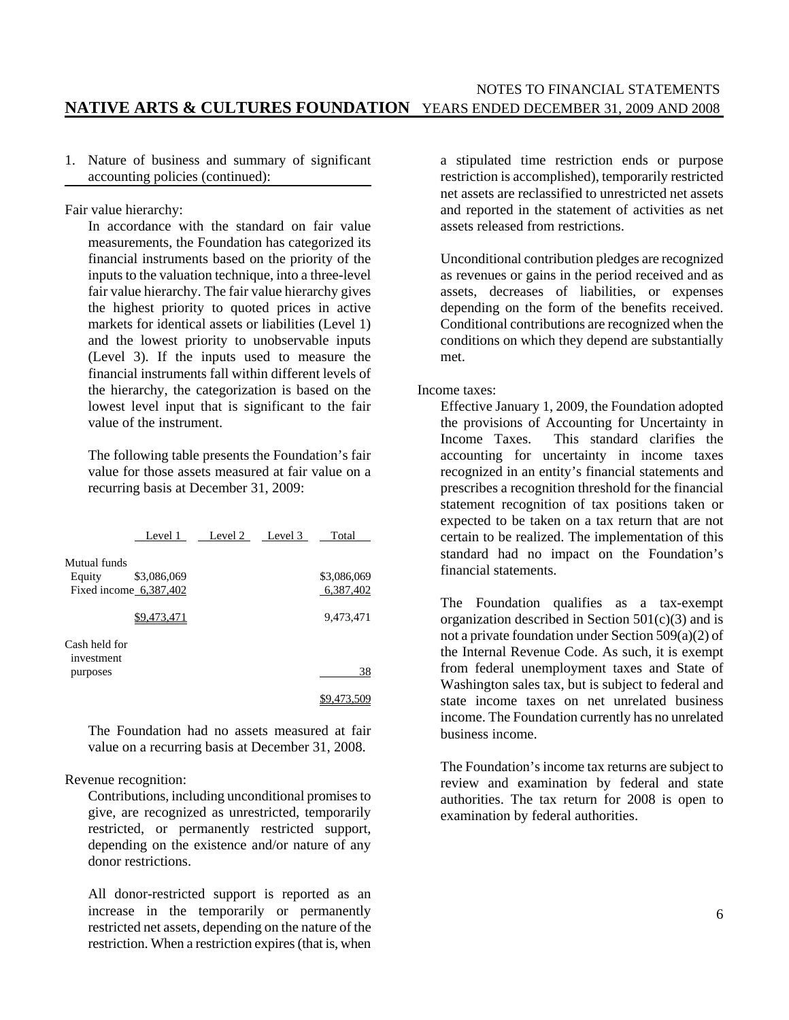1. Nature of business and summary of significant accounting policies (continued):

Fair value hierarchy:

In accordance with the standard on fair value measurements, the Foundation has categorized its financial instruments based on the priority of the inputs to the valuation technique, into a three-level fair value hierarchy. The fair value hierarchy gives the highest priority to quoted prices in active markets for identical assets or liabilities (Level 1) and the lowest priority to unobservable inputs (Level 3). If the inputs used to measure the financial instruments fall within different levels of the hierarchy, the categorization is based on the lowest level input that is significant to the fair value of the instrument.

The following table presents the Foundation's fair value for those assets measured at fair value on a recurring basis at December 31, 2009:

|                                                    |             | Level 1 Level 2 Level 3 | Total                    |
|----------------------------------------------------|-------------|-------------------------|--------------------------|
| Mutual funds<br>Equity<br>Fixed income $6,387,402$ | \$3,086,069 |                         | \$3,086,069<br>6,387,402 |
|                                                    | \$9.473.471 |                         | 9,473,471                |
| Cash held for<br>investment<br>purposes            |             |                         | 38                       |
|                                                    |             |                         |                          |

The Foundation had no assets measured at fair value on a recurring basis at December 31, 2008.

#### Revenue recognition:

Contributions, including unconditional promises to give, are recognized as unrestricted, temporarily restricted, or permanently restricted support, depending on the existence and/or nature of any donor restrictions.

All donor-restricted support is reported as an increase in the temporarily or permanently restricted net assets, depending on the nature of the restriction. When a restriction expires (that is, when a stipulated time restriction ends or purpose restriction is accomplished), temporarily restricted net assets are reclassified to unrestricted net assets and reported in the statement of activities as net assets released from restrictions.

Unconditional contribution pledges are recognized as revenues or gains in the period received and as assets, decreases of liabilities, or expenses depending on the form of the benefits received. Conditional contributions are recognized when the conditions on which they depend are substantially met.

Income taxes:

Effective January 1, 2009, the Foundation adopted the provisions of Accounting for Uncertainty in Income Taxes. This standard clarifies the accounting for uncertainty in income taxes recognized in an entity's financial statements and prescribes a recognition threshold for the financial statement recognition of tax positions taken or expected to be taken on a tax return that are not certain to be realized. The implementation of this standard had no impact on the Foundation's financial statements.

The Foundation qualifies as a tax-exempt organization described in Section  $501(c)(3)$  and is not a private foundation under Section 509(a)(2) of the Internal Revenue Code. As such, it is exempt from federal unemployment taxes and State of Washington sales tax, but is subject to federal and state income taxes on net unrelated business income. The Foundation currently has no unrelated business income.

The Foundation's income tax returns are subject to review and examination by federal and state authorities. The tax return for 2008 is open to examination by federal authorities.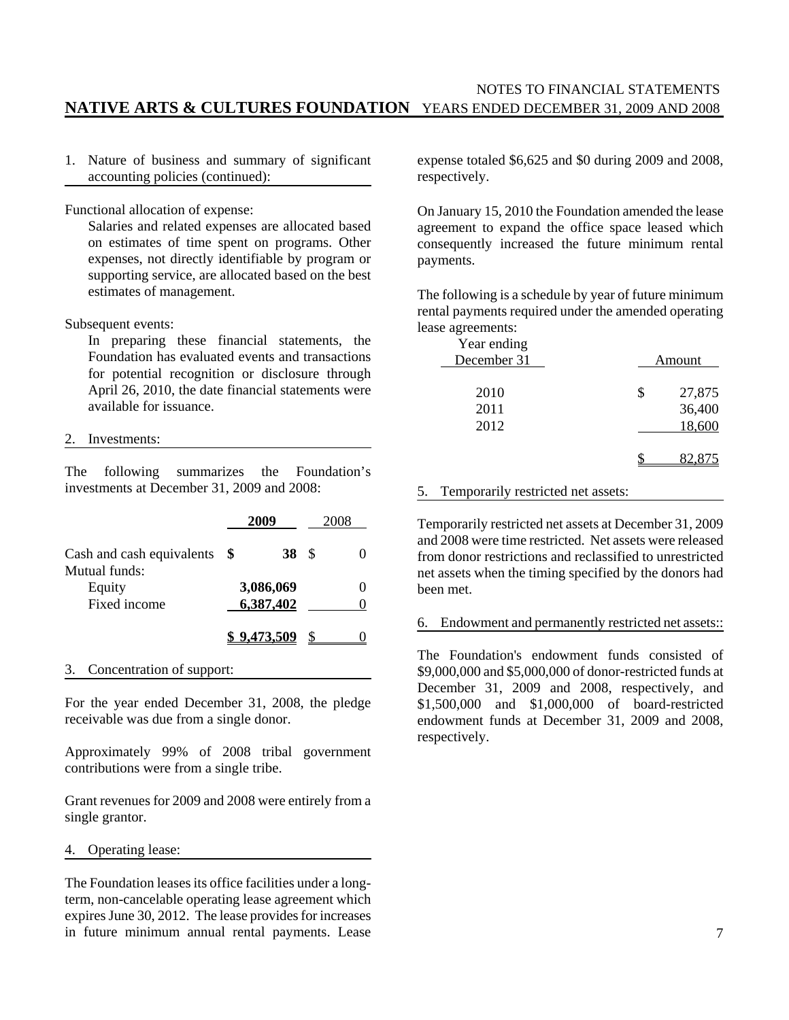#### NOTES TO FINANCIAL STATEMENTS **NATIVE ARTS & CULTURES FOUNDATION** YEARS ENDED DECEMBER 31, 2009 AND 2008

1. Nature of business and summary of significant accounting policies (continued):

Functional allocation of expense:

Salaries and related expenses are allocated based on estimates of time spent on programs. Other expenses, not directly identifiable by program or supporting service, are allocated based on the best estimates of management.

Subsequent events:

In preparing these financial statements, the Foundation has evaluated events and transactions for potential recognition or disclosure through April 26, 2010, the date financial statements were available for issuance.

#### 2. Investments:

The following summarizes the Foundation's investments at December 31, 2009 and 2008:

|                           | 2009 |                    |   |  |
|---------------------------|------|--------------------|---|--|
| Cash and cash equivalents | SS.  | 38                 | S |  |
| Mutual funds:             |      |                    |   |  |
| Equity                    |      | 3,086,069          |   |  |
| Fixed income              |      | 6,387,402          |   |  |
|                           |      | <u>\$9.473.509</u> |   |  |

3. Concentration of support:

For the year ended December 31, 2008, the pledge receivable was due from a single donor.

Approximately 99% of 2008 tribal government contributions were from a single tribe.

Grant revenues for 2009 and 2008 were entirely from a single grantor.

4. Operating lease:

The Foundation leases its office facilities under a longterm, non-cancelable operating lease agreement which expires June 30, 2012. The lease provides for increases in future minimum annual rental payments. Lease expense totaled \$6,625 and \$0 during 2009 and 2008, respectively.

On January 15, 2010 the Foundation amended the lease agreement to expand the office space leased which consequently increased the future minimum rental payments.

The following is a schedule by year of future minimum rental payments required under the amended operating lease agreements:

| Year ending<br>December 31 | Amount                           |
|----------------------------|----------------------------------|
| 2010<br>2011<br>2012       | \$<br>27,875<br>36,400<br>18,600 |
|                            |                                  |

#### 5. Temporarily restricted net assets:

Temporarily restricted net assets at December 31, 2009 and 2008 were time restricted. Net assets were released from donor restrictions and reclassified to unrestricted net assets when the timing specified by the donors had been met.

#### 6. Endowment and permanently restricted net assets::

The Foundation's endowment funds consisted of \$9,000,000 and \$5,000,000 of donor-restricted funds at December 31, 2009 and 2008, respectively, and \$1,500,000 and \$1,000,000 of board-restricted endowment funds at December 31, 2009 and 2008, respectively.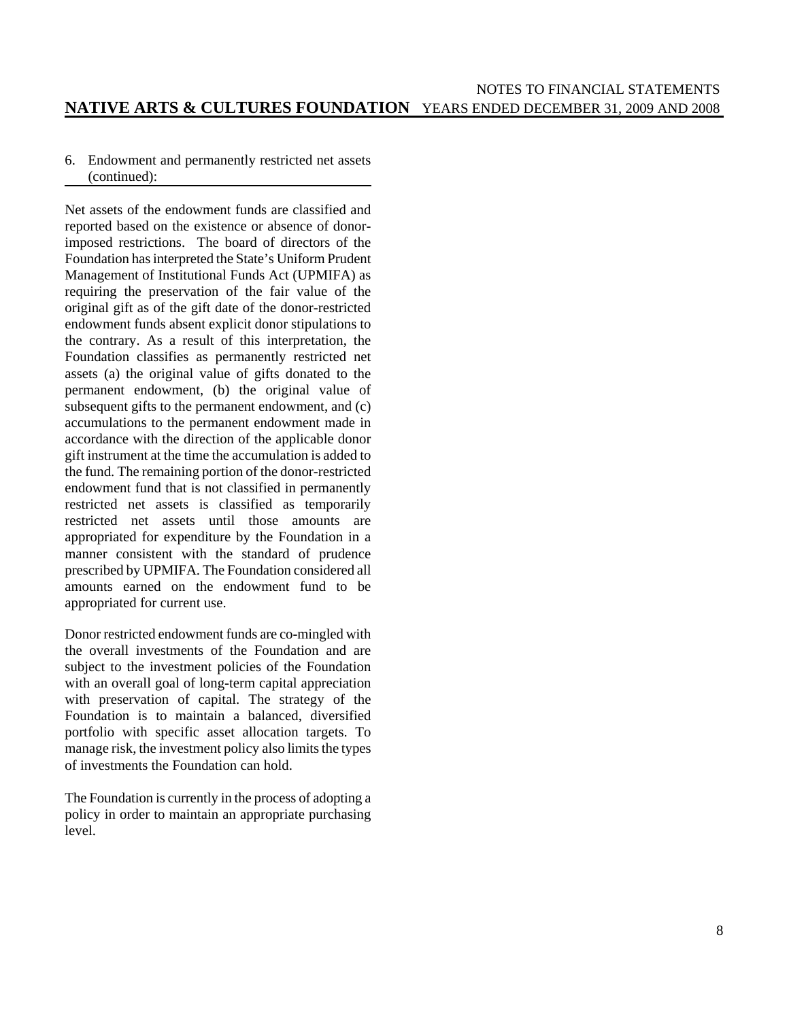#### 6. Endowment and permanently restricted net assets (continued):

Net assets of the endowment funds are classified and reported based on the existence or absence of donorimposed restrictions. The board of directors of the Foundation has interpreted the State's Uniform Prudent Management of Institutional Funds Act (UPMIFA) as requiring the preservation of the fair value of the original gift as of the gift date of the donor-restricted endowment funds absent explicit donor stipulations to the contrary. As a result of this interpretation, the Foundation classifies as permanently restricted net assets (a) the original value of gifts donated to the permanent endowment, (b) the original value of subsequent gifts to the permanent endowment, and (c) accumulations to the permanent endowment made in accordance with the direction of the applicable donor gift instrument at the time the accumulation is added to the fund. The remaining portion of the donor-restricted endowment fund that is not classified in permanently restricted net assets is classified as temporarily restricted net assets until those amounts are appropriated for expenditure by the Foundation in a manner consistent with the standard of prudence prescribed by UPMIFA. The Foundation considered all amounts earned on the endowment fund to be appropriated for current use.

Donor restricted endowment funds are co-mingled with the overall investments of the Foundation and are subject to the investment policies of the Foundation with an overall goal of long-term capital appreciation with preservation of capital. The strategy of the Foundation is to maintain a balanced, diversified portfolio with specific asset allocation targets. To manage risk, the investment policy also limits the types of investments the Foundation can hold.

The Foundation is currently in the process of adopting a policy in order to maintain an appropriate purchasing level.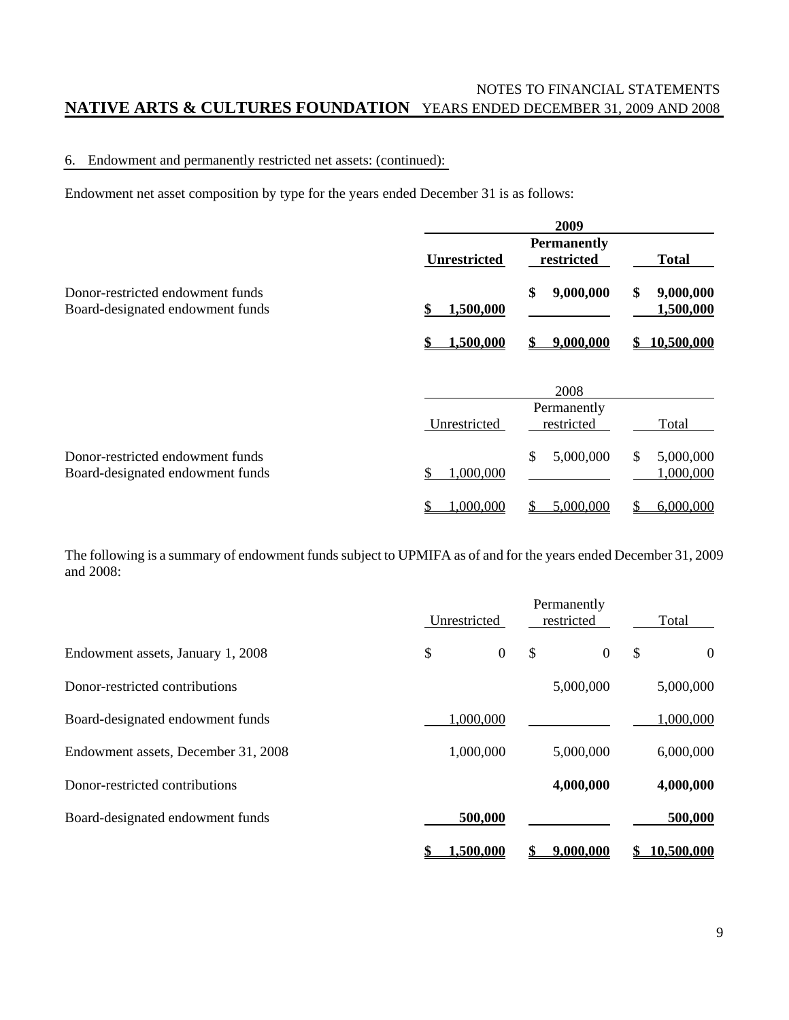### NOTES TO FINANCIAL STATEMENTS **NATIVE ARTS & CULTURES FOUNDATION** YEARS ENDED DECEMBER 31, 2009 AND 2008

#### 6. Endowment and permanently restricted net assets: (continued):

Endowment net asset composition by type for the years ended December 31 is as follows:

|                                                                      | 2009                |                                  |                              |  |
|----------------------------------------------------------------------|---------------------|----------------------------------|------------------------------|--|
|                                                                      | <b>Unrestricted</b> | <b>Permanently</b><br>restricted | <b>Total</b>                 |  |
| Donor-restricted endowment funds<br>Board-designated endowment funds | 1,500,000<br>S      | \$<br>9,000,000                  | \$<br>9,000,000<br>1,500,000 |  |
|                                                                      | 1,500,000           | 9,000,000                        | 10,500,000<br>S.             |  |
|                                                                      |                     | 2008                             |                              |  |
|                                                                      | Unrestricted        | Permanently<br>restricted        | Total                        |  |
| Donor-restricted endowment funds<br>Board-designated endowment funds | 1,000,000           | \$<br>5,000,000                  | \$<br>5,000,000<br>1,000,000 |  |
|                                                                      | 1,000,000<br>\$     | 5,000,000<br>S                   | 6,000,000<br>S               |  |

The following is a summary of endowment funds subject to UPMIFA as of and for the years ended December 31, 2009 and 2008:

|                                     | Unrestricted |                      | Permanently<br>restricted |   | Total      |
|-------------------------------------|--------------|----------------------|---------------------------|---|------------|
| Endowment assets, January 1, 2008   | \$           | $\overline{0}$<br>\$ | $\overline{0}$            | S | $\theta$   |
| Donor-restricted contributions      |              |                      | 5,000,000                 |   | 5,000,000  |
| Board-designated endowment funds    | 1,000,000    |                      |                           |   | 1,000,000  |
| Endowment assets, December 31, 2008 | 1,000,000    |                      | 5,000,000                 |   | 6,000,000  |
| Donor-restricted contributions      |              |                      | 4,000,000                 |   | 4,000,000  |
| Board-designated endowment funds    | 500,000      |                      |                           |   | 500,000    |
|                                     | .500.000     |                      | 9.000.000                 |   | 10.500.000 |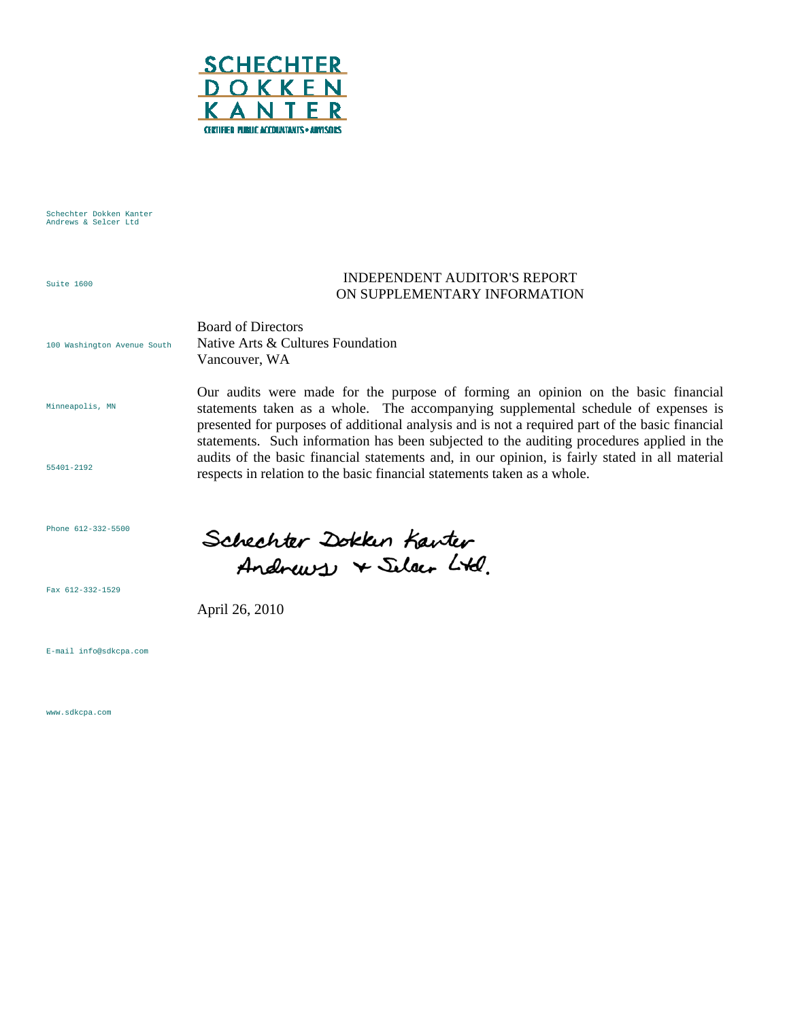

Schechter Dokken Kanter Andrews & Selcer Ltd

Suite 1600

#### INDEPENDENT AUDITOR'S REPORT ON SUPPLEMENTARY INFORMATION

Our audits were made for the purpose of forming an opinion on the basic financial statements taken as a whole. The accompanying supplemental schedule of expenses is presented for purposes of additional analysis and is not a required part of the basic financial statements. Such information has been subjected to the auditing procedures applied in the audits of the basic financial statements and, in our opinion, is fairly stated in all material

100 Washington Avenue South Board of Directors Native Arts & Cultures Foundation Vancouver, WA

Minneapolis, MN

55401-2192

Phone 612-332-5500

Fax 612-332-1529

Andrews + Selar Ltd.

Schechter Dokken Kanter

respects in relation to the basic financial statements taken as a whole.

April 26, 2010

E-mail info@sdkcpa.com

www.sdkcpa.com